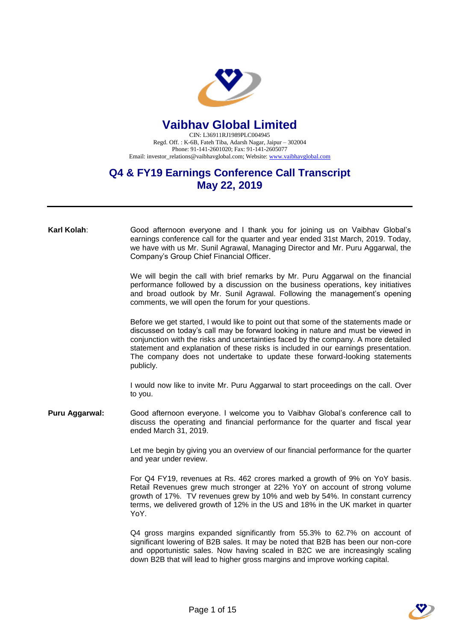

## **Vaibhav Global Limited**

CIN: L36911RJ1989PLC004945 Regd. Off. : K-6B, Fateh Tiba, Adarsh Nagar, Jaipur – 302004 Phone: 91-141-2601020; Fax: 91-141-2605077 Email: investor\_relations@vaibhavglobal.com; Website[: www.vaibhavglobal.com](http://www.vaibhavglobal.com/)

## **Q4 & FY19 Earnings Conference Call Transcript May 22, 2019**

| Karl Kolah:    | Good afternoon everyone and I thank you for joining us on Vaibhav Global's<br>earnings conference call for the quarter and year ended 31st March, 2019. Today,<br>we have with us Mr. Sunil Agrawal, Managing Director and Mr. Puru Aggarwal, the<br>Company's Group Chief Financial Officer.                                                                                                                                                  |
|----------------|------------------------------------------------------------------------------------------------------------------------------------------------------------------------------------------------------------------------------------------------------------------------------------------------------------------------------------------------------------------------------------------------------------------------------------------------|
|                | We will begin the call with brief remarks by Mr. Puru Aggarwal on the financial<br>performance followed by a discussion on the business operations, key initiatives<br>and broad outlook by Mr. Sunil Agrawal. Following the management's opening<br>comments, we will open the forum for your questions.                                                                                                                                      |
|                | Before we get started, I would like to point out that some of the statements made or<br>discussed on today's call may be forward looking in nature and must be viewed in<br>conjunction with the risks and uncertainties faced by the company. A more detailed<br>statement and explanation of these risks is included in our earnings presentation.<br>The company does not undertake to update these forward-looking statements<br>publicly. |
|                | I would now like to invite Mr. Puru Aggarwal to start proceedings on the call. Over<br>to you.                                                                                                                                                                                                                                                                                                                                                 |
| Puru Aggarwal: | Good afternoon everyone. I welcome you to Vaibhav Global's conference call to<br>discuss the operating and financial performance for the quarter and fiscal year<br>ended March 31, 2019.                                                                                                                                                                                                                                                      |
|                | Let me begin by giving you an overview of our financial performance for the quarter<br>and year under review.                                                                                                                                                                                                                                                                                                                                  |
|                | For Q4 FY19, revenues at Rs. 462 crores marked a growth of 9% on YoY basis.<br>Retail Revenues grew much stronger at 22% YoY on account of strong volume<br>growth of 17%. TV revenues grew by 10% and web by 54%. In constant currency<br>terms, we delivered growth of 12% in the US and 18% in the UK market in quarter<br>YoY.                                                                                                             |
|                | Q4 gross margins expanded significantly from 55.3% to 62.7% on account of<br>significant lowering of B2B sales. It may be noted that B2B has been our non-core<br>and opportunistic sales. Now having scaled in B2C we are increasingly scaling<br>down B2B that will lead to higher gross margins and improve working capital.                                                                                                                |

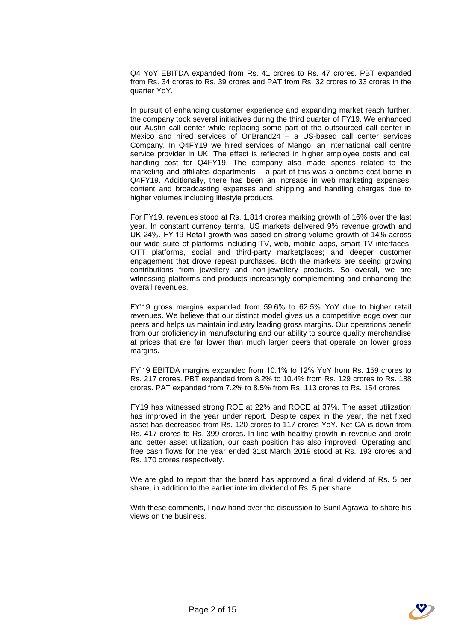Q4 YoY EBITDA expanded from Rs. 41 crores to Rs. 47 crores. PBT expanded from Rs. 34 crores to Rs. 39 crores and PAT from Rs. 32 crores to 33 crores in the quarter YoY.

In pursuit of enhancing customer experience and expanding market reach further, the company took several initiatives during the third quarter of FY19. We enhanced our Austin call center while replacing some part of the outsourced call center in Mexico and hired services of OnBrand24 – a US-based call center services Company. In Q4FY19 we hired services of Mango, an international call centre service provider in UK. The effect is reflected in higher employee costs and call handling cost for Q4FY19. The company also made spends related to the marketing and affiliates departments – a part of this was a onetime cost borne in Q4FY19. Additionally, there has been an increase in web marketing expenses, content and broadcasting expenses and shipping and handling charges due to higher volumes including lifestyle products.

For FY19, revenues stood at Rs. 1,814 crores marking growth of 16% over the last year. In constant currency terms, US markets delivered 9% revenue growth and UK 24%. FY'19 Retail growth was based on strong volume growth of 14% across our wide suite of platforms including TV, web, mobile apps, smart TV interfaces, OTT platforms, social and third-party marketplaces; and deeper customer engagement that drove repeat purchases. Both the markets are seeing growing contributions from jewellery and non-jewellery products. So overall, we are witnessing platforms and products increasingly complementing and enhancing the overall revenues.

FY'19 gross margins expanded from 59.6% to 62.5% YoY due to higher retail revenues. We believe that our distinct model gives us a competitive edge over our peers and helps us maintain industry leading gross margins. Our operations benefit from our proficiency in manufacturing and our ability to source quality merchandise at prices that are far lower than much larger peers that operate on lower gross margins.

FY'19 EBITDA margins expanded from 10.1% to 12% YoY from Rs. 159 crores to Rs. 217 crores. PBT expanded from 8.2% to 10.4% from Rs. 129 crores to Rs. 188 crores. PAT expanded from 7.2% to 8.5% from Rs. 113 crores to Rs. 154 crores.

FY19 has witnessed strong ROE at 22% and ROCE at 37%. The asset utilization has improved in the year under report. Despite capex in the year, the net fixed asset has decreased from Rs. 120 crores to 117 crores YoY. Net CA is down from Rs. 417 crores to Rs. 399 crores. In line with healthy growth in revenue and profit and better asset utilization, our cash position has also improved. Operating and free cash flows for the year ended 31st March 2019 stood at Rs. 193 crores and Rs. 170 crores respectively.

We are glad to report that the board has approved a final dividend of Rs. 5 per share, in addition to the earlier interim dividend of Rs. 5 per share.

With these comments, I now hand over the discussion to Sunil Agrawal to share his views on the business.

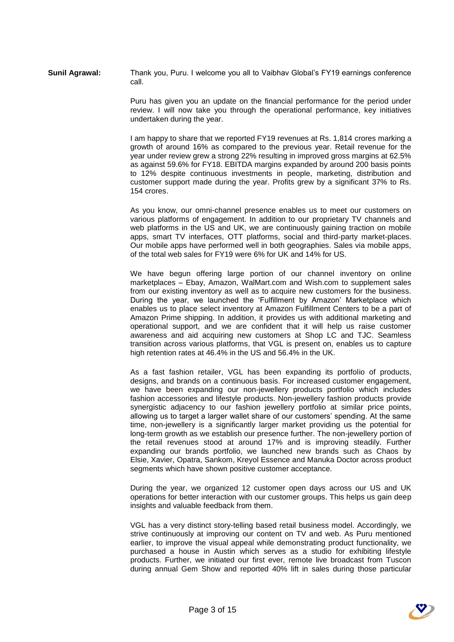**Sunil Agrawal:** Thank you, Puru. I welcome you all to Vaibhav Global's FY19 earnings conference call.

> Puru has given you an update on the financial performance for the period under review. I will now take you through the operational performance, key initiatives undertaken during the year.

> I am happy to share that we reported FY19 revenues at Rs. 1,814 crores marking a growth of around 16% as compared to the previous year. Retail revenue for the year under review grew a strong 22% resulting in improved gross margins at 62.5% as against 59.6% for FY18. EBITDA margins expanded by around 200 basis points to 12% despite continuous investments in people, marketing, distribution and customer support made during the year. Profits grew by a significant 37% to Rs. 154 crores.

> As you know, our omni-channel presence enables us to meet our customers on various platforms of engagement. In addition to our proprietary TV channels and web platforms in the US and UK, we are continuously gaining traction on mobile apps, smart TV interfaces, OTT platforms, social and third-party market-places. Our mobile apps have performed well in both geographies. Sales via mobile apps, of the total web sales for FY19 were 6% for UK and 14% for US.

> We have begun offering large portion of our channel inventory on online marketplaces – Ebay, Amazon, WalMart.com and Wish.com to supplement sales from our existing inventory as well as to acquire new customers for the business. During the year, we launched the 'Fulfillment by Amazon' Marketplace which enables us to place select inventory at Amazon Fulfillment Centers to be a part of Amazon Prime shipping. In addition, it provides us with additional marketing and operational support, and we are confident that it will help us raise customer awareness and aid acquiring new customers at Shop LC and TJC. Seamless transition across various platforms, that VGL is present on, enables us to capture high retention rates at 46.4% in the US and 56.4% in the UK.

> As a fast fashion retailer, VGL has been expanding its portfolio of products, designs, and brands on a continuous basis. For increased customer engagement, we have been expanding our non-jewellery products portfolio which includes fashion accessories and lifestyle products. Non-jewellery fashion products provide synergistic adjacency to our fashion jewellery portfolio at similar price points, allowing us to target a larger wallet share of our customers' spending. At the same time, non-jewellery is a significantly larger market providing us the potential for long-term growth as we establish our presence further. The non-jewellery portion of the retail revenues stood at around 17% and is improving steadily. Further expanding our brands portfolio, we launched new brands such as Chaos by Elsie, Xavier, Opatra, Sankom, Kreyol Essence and Manuka Doctor across product segments which have shown positive customer acceptance.

> During the year, we organized 12 customer open days across our US and UK operations for better interaction with our customer groups. This helps us gain deep insights and valuable feedback from them.

> VGL has a very distinct story-telling based retail business model. Accordingly, we strive continuously at improving our content on TV and web. As Puru mentioned earlier, to improve the visual appeal while demonstrating product functionality, we purchased a house in Austin which serves as a studio for exhibiting lifestyle products. Further, we initiated our first ever, remote live broadcast from Tuscon during annual Gem Show and reported 40% lift in sales during those particular

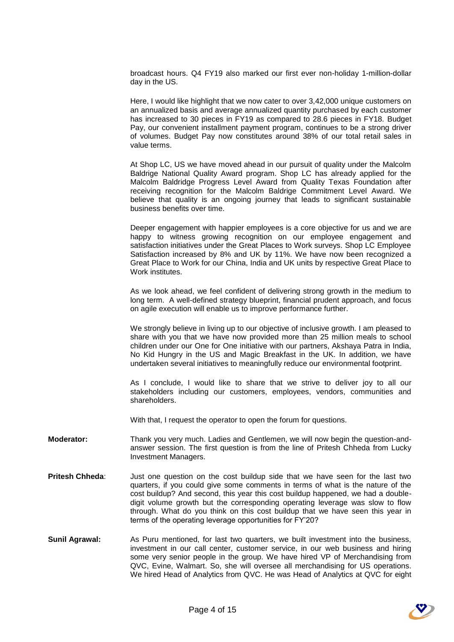broadcast hours. Q4 FY19 also marked our first ever non-holiday 1-million-dollar day in the US.

Here, I would like highlight that we now cater to over 3,42,000 unique customers on an annualized basis and average annualized quantity purchased by each customer has increased to 30 pieces in FY19 as compared to 28.6 pieces in FY18. Budget Pay, our convenient installment payment program, continues to be a strong driver of volumes. Budget Pay now constitutes around 38% of our total retail sales in value terms.

At Shop LC, US we have moved ahead in our pursuit of quality under the Malcolm Baldrige National Quality Award program. Shop LC has already applied for the Malcolm Baldridge Progress Level Award from Quality Texas Foundation after receiving recognition for the Malcolm Baldrige Commitment Level Award. We believe that quality is an ongoing journey that leads to significant sustainable business benefits over time.

Deeper engagement with happier employees is a core objective for us and we are happy to witness growing recognition on our employee engagement and satisfaction initiatives under the Great Places to Work surveys. Shop LC Employee Satisfaction increased by 8% and UK by 11%. We have now been recognized a Great Place to Work for our China, India and UK units by respective Great Place to Work institutes.

As we look ahead, we feel confident of delivering strong growth in the medium to long term. A well-defined strategy blueprint, financial prudent approach, and focus on agile execution will enable us to improve performance further.

We strongly believe in living up to our objective of inclusive growth. I am pleased to share with you that we have now provided more than 25 million meals to school children under our One for One initiative with our partners, Akshaya Patra in India, No Kid Hungry in the US and Magic Breakfast in the UK. In addition, we have undertaken several initiatives to meaningfully reduce our environmental footprint.

As I conclude, I would like to share that we strive to deliver joy to all our stakeholders including our customers, employees, vendors, communities and shareholders.

With that, I request the operator to open the forum for questions.

- **Moderator:** Thank you very much. Ladies and Gentlemen, we will now begin the question-andanswer session. The first question is from the line of Pritesh Chheda from Lucky Investment Managers.
- **Pritesh Chheda:** Just one question on the cost buildup side that we have seen for the last two quarters, if you could give some comments in terms of what is the nature of the cost buildup? And second, this year this cost buildup happened, we had a doubledigit volume growth but the corresponding operating leverage was slow to flow through. What do you think on this cost buildup that we have seen this year in terms of the operating leverage opportunities for FY'20?
- **Sunil Agrawal:** As Puru mentioned, for last two quarters, we built investment into the business, investment in our call center, customer service, in our web business and hiring some very senior people in the group. We have hired VP of Merchandising from QVC, Evine, Walmart. So, she will oversee all merchandising for US operations. We hired Head of Analytics from QVC. He was Head of Analytics at QVC for eight

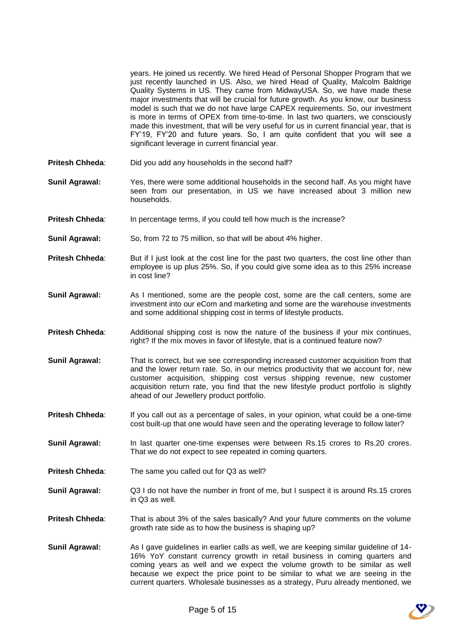|                        | years. He joined us recently. We hired Head of Personal Shopper Program that we<br>just recently launched in US. Also, we hired Head of Quality, Malcolm Baldrige<br>Quality Systems in US. They came from MidwayUSA. So, we have made these<br>major investments that will be crucial for future growth. As you know, our business<br>model is such that we do not have large CAPEX requirements. So, our investment<br>is more in terms of OPEX from time-to-time. In last two quarters, we consciously<br>made this investment, that will be very useful for us in current financial year, that is<br>FY'19, FY'20 and future years. So, I am quite confident that you will see a<br>significant leverage in current financial year. |
|------------------------|-----------------------------------------------------------------------------------------------------------------------------------------------------------------------------------------------------------------------------------------------------------------------------------------------------------------------------------------------------------------------------------------------------------------------------------------------------------------------------------------------------------------------------------------------------------------------------------------------------------------------------------------------------------------------------------------------------------------------------------------|
| <b>Pritesh Chheda:</b> | Did you add any households in the second half?                                                                                                                                                                                                                                                                                                                                                                                                                                                                                                                                                                                                                                                                                          |
| <b>Sunil Agrawal:</b>  | Yes, there were some additional households in the second half. As you might have<br>seen from our presentation, in US we have increased about 3 million new<br>households.                                                                                                                                                                                                                                                                                                                                                                                                                                                                                                                                                              |
| Pritesh Chheda:        | In percentage terms, if you could tell how much is the increase?                                                                                                                                                                                                                                                                                                                                                                                                                                                                                                                                                                                                                                                                        |
| <b>Sunil Agrawal:</b>  | So, from 72 to 75 million, so that will be about 4% higher.                                                                                                                                                                                                                                                                                                                                                                                                                                                                                                                                                                                                                                                                             |
| <b>Pritesh Chheda:</b> | But if I just look at the cost line for the past two quarters, the cost line other than<br>employee is up plus 25%. So, if you could give some idea as to this 25% increase<br>in cost line?                                                                                                                                                                                                                                                                                                                                                                                                                                                                                                                                            |
| <b>Sunil Agrawal:</b>  | As I mentioned, some are the people cost, some are the call centers, some are<br>investment into our eCom and marketing and some are the warehouse investments<br>and some additional shipping cost in terms of lifestyle products.                                                                                                                                                                                                                                                                                                                                                                                                                                                                                                     |
| Pritesh Chheda:        | Additional shipping cost is now the nature of the business if your mix continues,<br>right? If the mix moves in favor of lifestyle, that is a continued feature now?                                                                                                                                                                                                                                                                                                                                                                                                                                                                                                                                                                    |
| <b>Sunil Agrawal:</b>  | That is correct, but we see corresponding increased customer acquisition from that<br>and the lower return rate. So, in our metrics productivity that we account for, new<br>customer acquisition, shipping cost versus shipping revenue, new customer<br>acquisition return rate, you find that the new lifestyle product portfolio is slightly<br>ahead of our Jewellery product portfolio.                                                                                                                                                                                                                                                                                                                                           |
| Pritesh Chheda:        | If you call out as a percentage of sales, in your opinion, what could be a one-time<br>cost built-up that one would have seen and the operating leverage to follow later?                                                                                                                                                                                                                                                                                                                                                                                                                                                                                                                                                               |
| <b>Sunil Agrawal:</b>  | In last quarter one-time expenses were between Rs.15 crores to Rs.20 crores.<br>That we do not expect to see repeated in coming quarters.                                                                                                                                                                                                                                                                                                                                                                                                                                                                                                                                                                                               |
| Pritesh Chheda:        | The same you called out for Q3 as well?                                                                                                                                                                                                                                                                                                                                                                                                                                                                                                                                                                                                                                                                                                 |
| <b>Sunil Agrawal:</b>  | Q3 I do not have the number in front of me, but I suspect it is around Rs.15 crores<br>in Q3 as well.                                                                                                                                                                                                                                                                                                                                                                                                                                                                                                                                                                                                                                   |
| Pritesh Chheda:        | That is about 3% of the sales basically? And your future comments on the volume<br>growth rate side as to how the business is shaping up?                                                                                                                                                                                                                                                                                                                                                                                                                                                                                                                                                                                               |

**Sunil Agrawal:** As I gave guidelines in earlier calls as well, we are keeping similar guideline of 14- 16% YoY constant currency growth in retail business in coming quarters and coming years as well and we expect the volume growth to be similar as well because we expect the price point to be similar to what we are seeing in the current quarters. Wholesale businesses as a strategy, Puru already mentioned, we

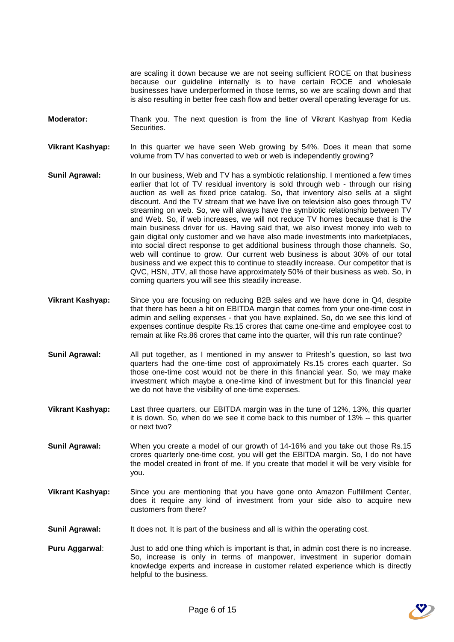are scaling it down because we are not seeing sufficient ROCE on that business because our guideline internally is to have certain ROCE and wholesale businesses have underperformed in those terms, so we are scaling down and that is also resulting in better free cash flow and better overall operating leverage for us.

- **Moderator:** Thank you. The next question is from the line of Vikrant Kashyap from Kedia Securities.
- **Vikrant Kashyap:** In this quarter we have seen Web growing by 54%. Does it mean that some volume from TV has converted to web or web is independently growing?
- **Sunil Agrawal:** In our business, Web and TV has a symbiotic relationship. I mentioned a few times earlier that lot of TV residual inventory is sold through web - through our rising auction as well as fixed price catalog. So, that inventory also sells at a slight discount. And the TV stream that we have live on television also goes through TV streaming on web. So, we will always have the symbiotic relationship between TV and Web. So, if web increases, we will not reduce TV homes because that is the main business driver for us. Having said that, we also invest money into web to gain digital only customer and we have also made investments into marketplaces, into social direct response to get additional business through those channels. So, web will continue to grow. Our current web business is about 30% of our total business and we expect this to continue to steadily increase. Our competitor that is QVC, HSN, JTV, all those have approximately 50% of their business as web. So, in coming quarters you will see this steadily increase.
- **Vikrant Kashyap:** Since you are focusing on reducing B2B sales and we have done in Q4, despite that there has been a hit on EBITDA margin that comes from your one-time cost in admin and selling expenses - that you have explained. So, do we see this kind of expenses continue despite Rs.15 crores that came one-time and employee cost to remain at like Rs.86 crores that came into the quarter, will this run rate continue?
- **Sunil Agrawal:** All put together, as I mentioned in my answer to Pritesh's question, so last two quarters had the one-time cost of approximately Rs.15 crores each quarter. So those one-time cost would not be there in this financial year. So, we may make investment which maybe a one-time kind of investment but for this financial year we do not have the visibility of one-time expenses.
- **Vikrant Kashyap:** Last three quarters, our EBITDA margin was in the tune of 12%, 13%, this quarter it is down. So, when do we see it come back to this number of 13% -- this quarter or next two?
- **Sunil Agrawal:** When you create a model of our growth of 14-16% and you take out those Rs.15 crores quarterly one-time cost, you will get the EBITDA margin. So, I do not have the model created in front of me. If you create that model it will be very visible for you.
- **Vikrant Kashyap:** Since you are mentioning that you have gone onto Amazon Fulfillment Center, does it require any kind of investment from your side also to acquire new customers from there?
- **Sunil Agrawal:** It does not. It is part of the business and all is within the operating cost.
- **Puru Aggarwal:** Just to add one thing which is important is that, in admin cost there is no increase. So, increase is only in terms of manpower, investment in superior domain knowledge experts and increase in customer related experience which is directly helpful to the business.

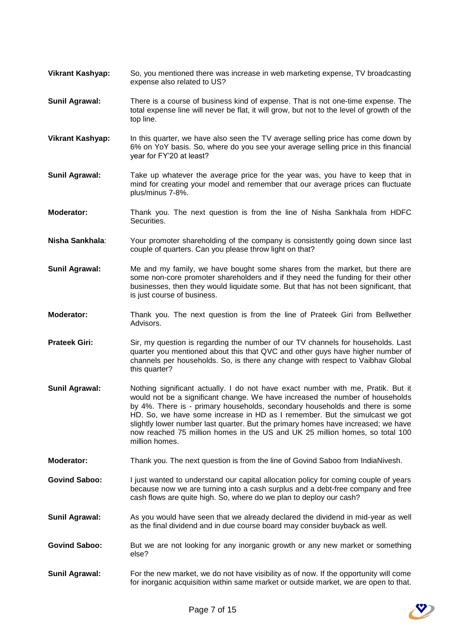- **Vikrant Kashyap:** So, you mentioned there was increase in web marketing expense, TV broadcasting expense also related to US?
- **Sunil Agrawal:** There is a course of business kind of expense. That is not one-time expense. The total expense line will never be flat, it will grow, but not to the level of growth of the top line.
- **Vikrant Kashyap:** In this quarter, we have also seen the TV average selling price has come down by 6% on YoY basis. So, where do you see your average selling price in this financial year for FY'20 at least?
- **Sunil Agrawal:** Take up whatever the average price for the year was, you have to keep that in mind for creating your model and remember that our average prices can fluctuate plus/minus 7-8%.
- **Moderator:** Thank you. The next question is from the line of Nisha Sankhala from HDFC Securities.
- **Nisha Sankhala**: Your promoter shareholding of the company is consistently going down since last couple of quarters. Can you please throw light on that?
- **Sunil Agrawal:** Me and my family, we have bought some shares from the market, but there are some non-core promoter shareholders and if they need the funding for their other businesses, then they would liquidate some. But that has not been significant, that is just course of business.
- **Moderator:** Thank you. The next question is from the line of Prateek Giri from Bellwether Advisors.
- **Prateek Giri:** Sir, my question is regarding the number of our TV channels for households. Last quarter you mentioned about this that QVC and other guys have higher number of channels per households. So, is there any change with respect to Vaibhav Global this quarter?
- **Sunil Agrawal:** Nothing significant actually. I do not have exact number with me, Pratik. But it would not be a significant change. We have increased the number of households by 4%. There is - primary households, secondary households and there is some HD. So, we have some increase in HD as I remember. But the simulcast we got slightly lower number last quarter. But the primary homes have increased; we have now reached 75 million homes in the US and UK 25 million homes, so total 100 million homes.
- **Moderator:** Thank you. The next question is from the line of Govind Saboo from IndiaNivesh.
- **Govind Saboo:** I just wanted to understand our capital allocation policy for coming couple of years because now we are turning into a cash surplus and a debt-free company and free cash flows are quite high. So, where do we plan to deploy our cash?
- **Sunil Agrawal:** As you would have seen that we already declared the dividend in mid-year as well as the final dividend and in due course board may consider buyback as well.
- Govind Saboo: But we are not looking for any inorganic growth or any new market or something else?
- **Sunil Agrawal:** For the new market, we do not have visibility as of now. If the opportunity will come for inorganic acquisition within same market or outside market, we are open to that.

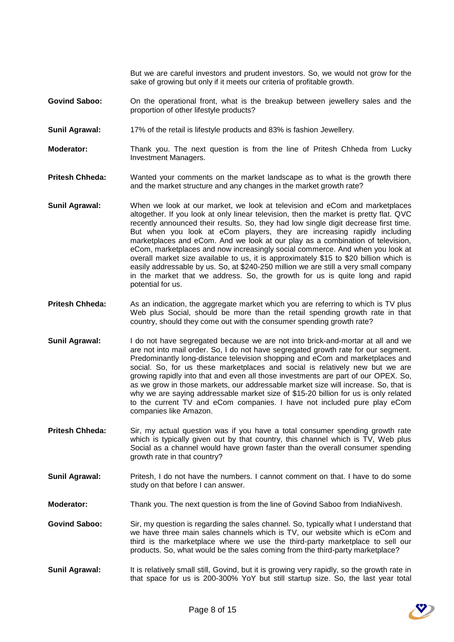But we are careful investors and prudent investors. So, we would not grow for the sake of growing but only if it meets our criteria of profitable growth.

- **Govind Saboo:** On the operational front, what is the breakup between jewellery sales and the proportion of other lifestyle products?
- **Sunil Agrawal:** 17% of the retail is lifestyle products and 83% is fashion Jewellery.
- **Moderator:** Thank you. The next question is from the line of Pritesh Chheda from Lucky Investment Managers.
- **Pritesh Chheda:** Wanted your comments on the market landscape as to what is the growth there and the market structure and any changes in the market growth rate?
- **Sunil Agrawal:** When we look at our market, we look at television and eCom and marketplaces altogether. If you look at only linear television, then the market is pretty flat. QVC recently announced their results. So, they had low single digit decrease first time. But when you look at eCom players, they are increasing rapidly including marketplaces and eCom. And we look at our play as a combination of television, eCom, marketplaces and now increasingly social commerce. And when you look at overall market size available to us, it is approximately \$15 to \$20 billion which is easily addressable by us. So, at \$240-250 million we are still a very small company in the market that we address. So, the growth for us is quite long and rapid potential for us.
- **Pritesh Chheda:** As an indication, the aggregate market which you are referring to which is TV plus Web plus Social, should be more than the retail spending growth rate in that country, should they come out with the consumer spending growth rate?
- **Sunil Agrawal:** I do not have segregated because we are not into brick-and-mortar at all and we are not into mail order. So, I do not have segregated growth rate for our segment. Predominantly long-distance television shopping and eCom and marketplaces and social. So, for us these marketplaces and social is relatively new but we are growing rapidly into that and even all those investments are part of our OPEX. So, as we grow in those markets, our addressable market size will increase. So, that is why we are saying addressable market size of \$15-20 billion for us is only related to the current TV and eCom companies. I have not included pure play eCom companies like Amazon.
- Pritesh Chheda: Sir, my actual question was if you have a total consumer spending growth rate which is typically given out by that country, this channel which is TV, Web plus Social as a channel would have grown faster than the overall consumer spending growth rate in that country?
- **Sunil Agrawal:** Pritesh, I do not have the numbers. I cannot comment on that. I have to do some study on that before I can answer.
- **Moderator:** Thank you. The next question is from the line of Govind Saboo from IndiaNivesh.
- **Govind Saboo:** Sir, my question is regarding the sales channel. So, typically what I understand that we have three main sales channels which is TV, our website which is eCom and third is the marketplace where we use the third-party marketplace to sell our products. So, what would be the sales coming from the third-party marketplace?
- **Sunil Agrawal:** It is relatively small still, Govind, but it is growing very rapidly, so the growth rate in that space for us is 200-300% YoY but still startup size. So, the last year total

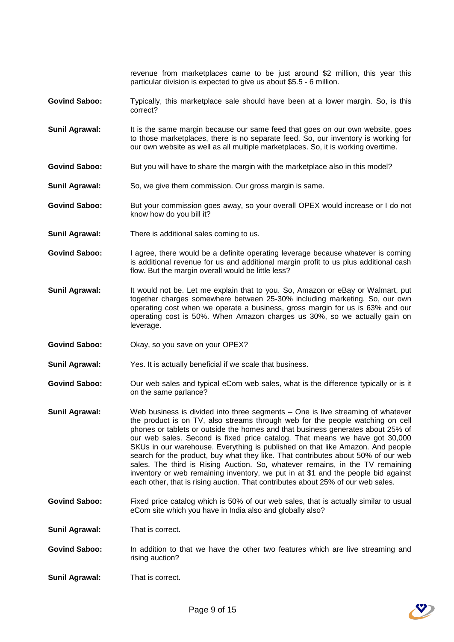revenue from marketplaces came to be just around \$2 million, this year this particular division is expected to give us about \$5.5 - 6 million.

- **Govind Saboo:** Typically, this marketplace sale should have been at a lower margin. So, is this correct?
- **Sunil Agrawal:** It is the same margin because our same feed that goes on our own website, goes to those marketplaces, there is no separate feed. So, our inventory is working for our own website as well as all multiple marketplaces. So, it is working overtime.
- Govind Saboo: But you will have to share the margin with the marketplace also in this model?
- **Sunil Agrawal:** So, we give them commission. Our gross margin is same.
- **Govind Saboo:** But your commission goes away, so your overall OPEX would increase or I do not know how do you bill it?
- **Sunil Agrawal:** There is additional sales coming to us.
- **Govind Saboo:** I agree, there would be a definite operating leverage because whatever is coming is additional revenue for us and additional margin profit to us plus additional cash flow. But the margin overall would be little less?
- **Sunil Agrawal:** It would not be. Let me explain that to you. So, Amazon or eBay or Walmart, put together charges somewhere between 25-30% including marketing. So, our own operating cost when we operate a business, gross margin for us is 63% and our operating cost is 50%. When Amazon charges us 30%, so we actually gain on leverage.
- **Govind Saboo:** Okay, so you save on your OPEX?
- **Sunil Agrawal:** Yes. It is actually beneficial if we scale that business.
- **Govind Saboo:** Our web sales and typical eCom web sales, what is the difference typically or is it on the same parlance?
- **Sunil Agrawal:** Web business is divided into three segments One is live streaming of whatever the product is on TV, also streams through web for the people watching on cell phones or tablets or outside the homes and that business generates about 25% of our web sales. Second is fixed price catalog. That means we have got 30,000 SKUs in our warehouse. Everything is published on that like Amazon. And people search for the product, buy what they like. That contributes about 50% of our web sales. The third is Rising Auction. So, whatever remains, in the TV remaining inventory or web remaining inventory, we put in at \$1 and the people bid against each other, that is rising auction. That contributes about 25% of our web sales.
- **Govind Saboo:** Fixed price catalog which is 50% of our web sales, that is actually similar to usual eCom site which you have in India also and globally also?
- **Sunil Agrawal:** That is correct.
- **Govind Saboo:** In addition to that we have the other two features which are live streaming and rising auction?
- **Sunil Agrawal:** That is correct.

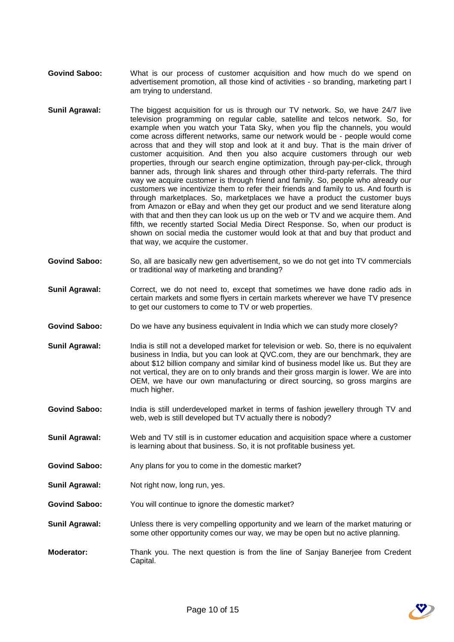- **Govind Saboo:** What is our process of customer acquisition and how much do we spend on advertisement promotion, all those kind of activities - so branding, marketing part I am trying to understand.
- **Sunil Agrawal:** The biggest acquisition for us is through our TV network. So, we have 24/7 live television programming on regular cable, satellite and telcos network. So, for example when you watch your Tata Sky, when you flip the channels, you would come across different networks, same our network would be - people would come across that and they will stop and look at it and buy. That is the main driver of customer acquisition. And then you also acquire customers through our web properties, through our search engine optimization, through pay-per-click, through banner ads, through link shares and through other third-party referrals. The third way we acquire customer is through friend and family. So, people who already our customers we incentivize them to refer their friends and family to us. And fourth is through marketplaces. So, marketplaces we have a product the customer buys from Amazon or eBay and when they get our product and we send literature along with that and then they can look us up on the web or TV and we acquire them. And fifth, we recently started Social Media Direct Response. So, when our product is shown on social media the customer would look at that and buy that product and that way, we acquire the customer.
- **Govind Saboo:** So, all are basically new gen advertisement, so we do not get into TV commercials or traditional way of marketing and branding?
- **Sunil Agrawal:** Correct, we do not need to, except that sometimes we have done radio ads in certain markets and some flyers in certain markets wherever we have TV presence to get our customers to come to TV or web properties.
- Govind Saboo: Do we have any business equivalent in India which we can study more closely?
- **Sunil Agrawal:** India is still not a developed market for television or web. So, there is no equivalent business in India, but you can look at QVC.com, they are our benchmark, they are about \$12 billion company and similar kind of business model like us. But they are not vertical, they are on to only brands and their gross margin is lower. We are into OEM, we have our own manufacturing or direct sourcing, so gross margins are much higher.
- Govind Saboo: India is still underdeveloped market in terms of fashion jewellery through TV and web, web is still developed but TV actually there is nobody?
- **Sunil Agrawal:** Web and TV still is in customer education and acquisition space where a customer is learning about that business. So, it is not profitable business yet.
- Govind Saboo: Any plans for you to come in the domestic market?
- **Sunil Agrawal:** Not right now, long run, yes.
- **Govind Saboo:** You will continue to ignore the domestic market?
- **Sunil Agrawal:** Unless there is very compelling opportunity and we learn of the market maturing or some other opportunity comes our way, we may be open but no active planning.
- **Moderator:** Thank you. The next question is from the line of Sanjay Banerjee from Credent Capital.

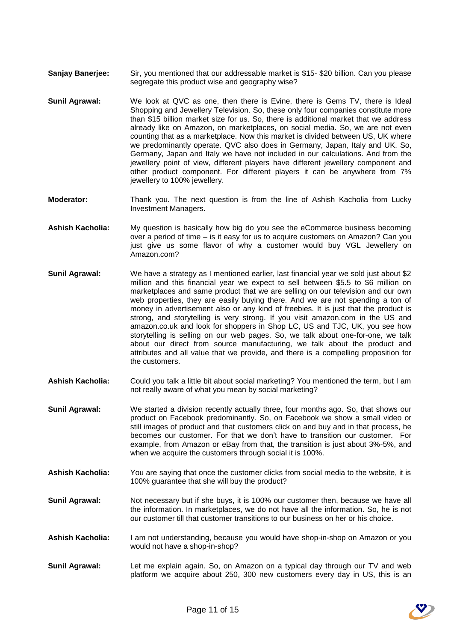- **Sanjay Banerjee:** Sir, you mentioned that our addressable market is \$15- \$20 billion. Can you please segregate this product wise and geography wise?
- **Sunil Agrawal:** We look at QVC as one, then there is Evine, there is Gems TV, there is Ideal Shopping and Jewellery Television. So, these only four companies constitute more than \$15 billion market size for us. So, there is additional market that we address already like on Amazon, on marketplaces, on social media. So, we are not even counting that as a marketplace. Now this market is divided between US, UK where we predominantly operate. QVC also does in Germany, Japan, Italy and UK. So, Germany, Japan and Italy we have not included in our calculations. And from the jewellery point of view, different players have different jewellery component and other product component. For different players it can be anywhere from 7% jewellery to 100% jewellery.
- **Moderator:** Thank you. The next question is from the line of Ashish Kacholia from Lucky Investment Managers.
- **Ashish Kacholia:** My question is basically how big do you see the eCommerce business becoming over a period of time – is it easy for us to acquire customers on Amazon? Can you just give us some flavor of why a customer would buy VGL Jewellery on Amazon.com?
- **Sunil Agrawal:** We have a strategy as I mentioned earlier, last financial year we sold just about \$2 million and this financial year we expect to sell between \$5.5 to \$6 million on marketplaces and same product that we are selling on our television and our own web properties, they are easily buying there. And we are not spending a ton of money in advertisement also or any kind of freebies. It is just that the product is strong, and storytelling is very strong. If you visit amazon.com in the US and amazon.co.uk and look for shoppers in Shop LC, US and TJC, UK, you see how storytelling is selling on our web pages. So, we talk about one-for-one, we talk about our direct from source manufacturing, we talk about the product and attributes and all value that we provide, and there is a compelling proposition for the customers.
- **Ashish Kacholia:** Could you talk a little bit about social marketing? You mentioned the term, but I am not really aware of what you mean by social marketing?
- **Sunil Agrawal:** We started a division recently actually three, four months ago. So, that shows our product on Facebook predominantly. So, on Facebook we show a small video or still images of product and that customers click on and buy and in that process, he becomes our customer. For that we don't have to transition our customer. For example, from Amazon or eBay from that, the transition is just about 3%-5%, and when we acquire the customers through social it is 100%.
- **Ashish Kacholia:** You are saying that once the customer clicks from social media to the website, it is 100% guarantee that she will buy the product?
- **Sunil Agrawal:** Not necessary but if she buys, it is 100% our customer then, because we have all the information. In marketplaces, we do not have all the information. So, he is not our customer till that customer transitions to our business on her or his choice.
- **Ashish Kacholia:** I am not understanding, because you would have shop-in-shop on Amazon or you would not have a shop-in-shop?
- **Sunil Agrawal:** Let me explain again. So, on Amazon on a typical day through our TV and web platform we acquire about 250, 300 new customers every day in US, this is an

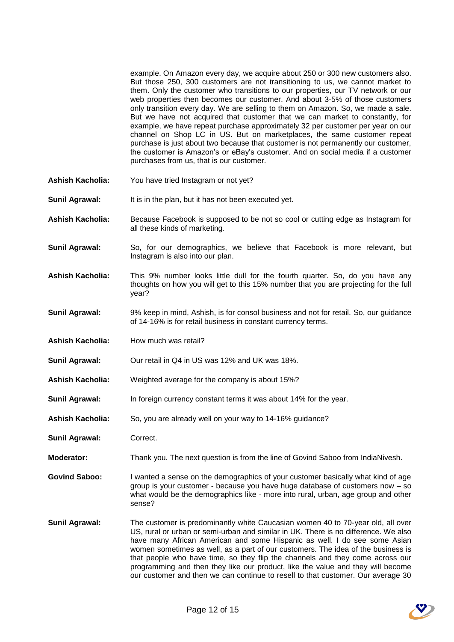example. On Amazon every day, we acquire about 250 or 300 new customers also. But those 250, 300 customers are not transitioning to us, we cannot market to them. Only the customer who transitions to our properties, our TV network or our web properties then becomes our customer. And about 3-5% of those customers only transition every day. We are selling to them on Amazon. So, we made a sale. But we have not acquired that customer that we can market to constantly, for example, we have repeat purchase approximately 32 per customer per year on our channel on Shop LC in US. But on marketplaces, the same customer repeat purchase is just about two because that customer is not permanently our customer, the customer is Amazon's or eBay's customer. And on social media if a customer purchases from us, that is our customer.

- **Ashish Kacholia:** You have tried Instagram or not yet?
- **Sunil Agrawal:** It is in the plan, but it has not been executed yet.
- **Ashish Kacholia:** Because Facebook is supposed to be not so cool or cutting edge as Instagram for all these kinds of marketing.
- **Sunil Agrawal:** So, for our demographics, we believe that Facebook is more relevant, but Instagram is also into our plan.
- **Ashish Kacholia:** This 9% number looks little dull for the fourth quarter. So, do you have any thoughts on how you will get to this 15% number that you are projecting for the full year?
- **Sunil Agrawal:** 9% keep in mind, Ashish, is for consol business and not for retail. So, our guidance of 14-16% is for retail business in constant currency terms.
- **Ashish Kacholia:** How much was retail?
- **Sunil Agrawal:** Our retail in Q4 in US was 12% and UK was 18%.
- **Ashish Kacholia:** Weighted average for the company is about 15%?
- **Sunil Agrawal:** In foreign currency constant terms it was about 14% for the year.
- **Ashish Kacholia:** So, you are already well on your way to 14-16% guidance?
- **Sunil Agrawal:** Correct.
- **Moderator:** Thank you. The next question is from the line of Govind Saboo from IndiaNivesh.

**Govind Saboo:** I wanted a sense on the demographics of your customer basically what kind of age group is your customer - because you have huge database of customers now – so what would be the demographics like - more into rural, urban, age group and other sense?

**Sunil Agrawal:** The customer is predominantly white Caucasian women 40 to 70-year old, all over US, rural or urban or semi-urban and similar in UK. There is no difference. We also have many African American and some Hispanic as well. I do see some Asian women sometimes as well, as a part of our customers. The idea of the business is that people who have time, so they flip the channels and they come across our programming and then they like our product, like the value and they will become our customer and then we can continue to resell to that customer. Our average 30

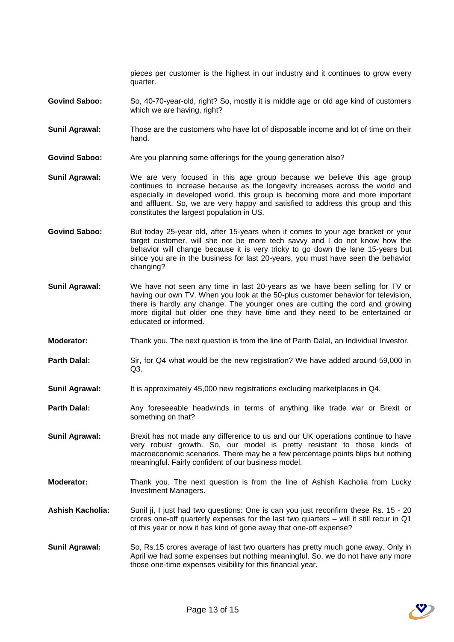pieces per customer is the highest in our industry and it continues to grow every quarter.

- **Govind Saboo:** So, 40-70-year-old, right? So, mostly it is middle age or old age kind of customers which we are having, right?
- **Sunil Agrawal:** Those are the customers who have lot of disposable income and lot of time on their hand.
- **Govind Saboo:** Are you planning some offerings for the young generation also?
- **Sunil Agrawal:** We are very focused in this age group because we believe this age group continues to increase because as the longevity increases across the world and especially in developed world, this group is becoming more and more important and affluent. So, we are very happy and satisfied to address this group and this constitutes the largest population in US.
- Govind Saboo: But today 25-year old, after 15-years when it comes to your age bracket or your target customer, will she not be more tech savvy and I do not know how the behavior will change because it is very tricky to go down the lane 15-years but since you are in the business for last 20-years, you must have seen the behavior changing?
- **Sunil Agrawal:** We have not seen any time in last 20-years as we have been selling for TV or having our own TV. When you look at the 50-plus customer behavior for television, there is hardly any change. The younger ones are cutting the cord and growing more digital but older one they have time and they need to be entertained or educated or informed.
- **Moderator:** Thank you. The next question is from the line of Parth Dalal, an Individual Investor.
- **Parth Dalal:** Sir, for Q4 what would be the new registration? We have added around 59,000 in  $Q3.$
- **Sunil Agrawal:** It is approximately 45,000 new registrations excluding marketplaces in Q4.
- **Parth Dalal:** Any foreseeable headwinds in terms of anything like trade war or Brexit or something on that?
- **Sunil Agrawal:** Brexit has not made any difference to us and our UK operations continue to have very robust growth. So, our model is pretty resistant to those kinds of macroeconomic scenarios. There may be a few percentage points blips but nothing meaningful. Fairly confident of our business model.
- **Moderator:** Thank you. The next question is from the line of Ashish Kacholia from Lucky Investment Managers.
- **Ashish Kacholia:** Sunil ji, I just had two questions: One is can you just reconfirm these Rs. 15 20 crores one-off quarterly expenses for the last two quarters – will it still recur in Q1 of this year or now it has kind of gone away that one-off expense?
- **Sunil Agrawal:** So, Rs.15 crores average of last two quarters has pretty much gone away. Only in April we had some expenses but nothing meaningful. So, we do not have any more those one-time expenses visibility for this financial year.

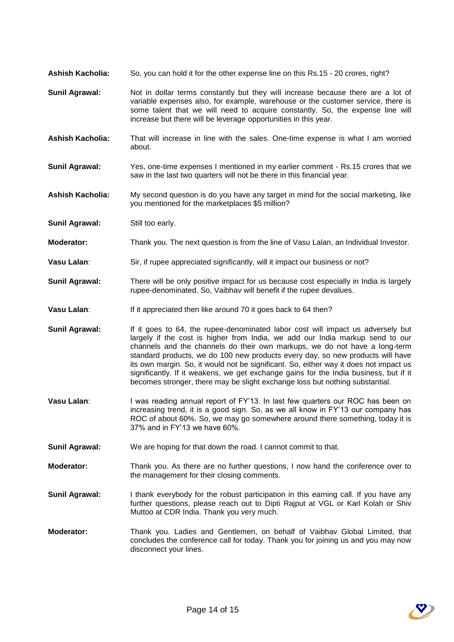- **Ashish Kacholia:** So, you can hold it for the other expense line on this Rs.15 20 crores, right?
- **Sunil Agrawal:** Not in dollar terms constantly but they will increase because there are a lot of variable expenses also, for example, warehouse or the customer service, there is some talent that we will need to acquire constantly. So, the expense line will increase but there will be leverage opportunities in this year.
- **Ashish Kacholia:** That will increase in line with the sales. One-time expense is what I am worried about.
- **Sunil Agrawal:** Yes, one-time expenses I mentioned in my earlier comment Rs.15 crores that we saw in the last two quarters will not be there in this financial year.
- **Ashish Kacholia:** My second question is do you have any target in mind for the social marketing, like you mentioned for the marketplaces \$5 million?
- **Sunil Agrawal:** Still too early.
- **Moderator:** Thank you. The next question is from the line of Vasu Lalan, an Individual Investor.
- **Vasu Lalan:** Sir, if rupee appreciated significantly, will it impact our business or not?
- **Sunil Agrawal:** There will be only positive impact for us because cost especially in India is largely rupee-denominated. So, Vaibhav will benefit if the rupee devalues.
- **Vasu Lalan:** If it appreciated then like around 70 it goes back to 64 then?
- **Sunil Agrawal:** If it goes to 64, the rupee-denominated labor cost will impact us adversely but largely if the cost is higher from India, we add our India markup send to our channels and the channels do their own markups, we do not have a long-term standard products, we do 100 new products every day, so new products will have its own margin. So, it would not be significant. So, either way it does not impact us significantly. If it weakens, we get exchange gains for the India business, but if it becomes stronger, there may be slight exchange loss but nothing substantial.
- **Vasu Lalan:** I was reading annual report of FY'13. In last few quarters our ROC has been on increasing trend, it is a good sign. So, as we all know in FY'13 our company has ROC of about 60%. So, we may go somewhere around there something, today it is 37% and in FY'13 we have 60%.
- **Sunil Agrawal:** We are hoping for that down the road. I cannot commit to that.
- **Moderator:** Thank you. As there are no further questions, I now hand the conference over to the management for their closing comments.
- Sunil Agrawal: I thank everybody for the robust participation in this earning call. If you have any further questions, please reach out to Dipti Rajput at VGL or Karl Kolah or Shiv Muttoo at CDR India. Thank you very much.
- **Moderator:** Thank you. Ladies and Gentlemen, on behalf of Vaibhav Global Limited, that concludes the conference call for today. Thank you for joining us and you may now disconnect your lines.